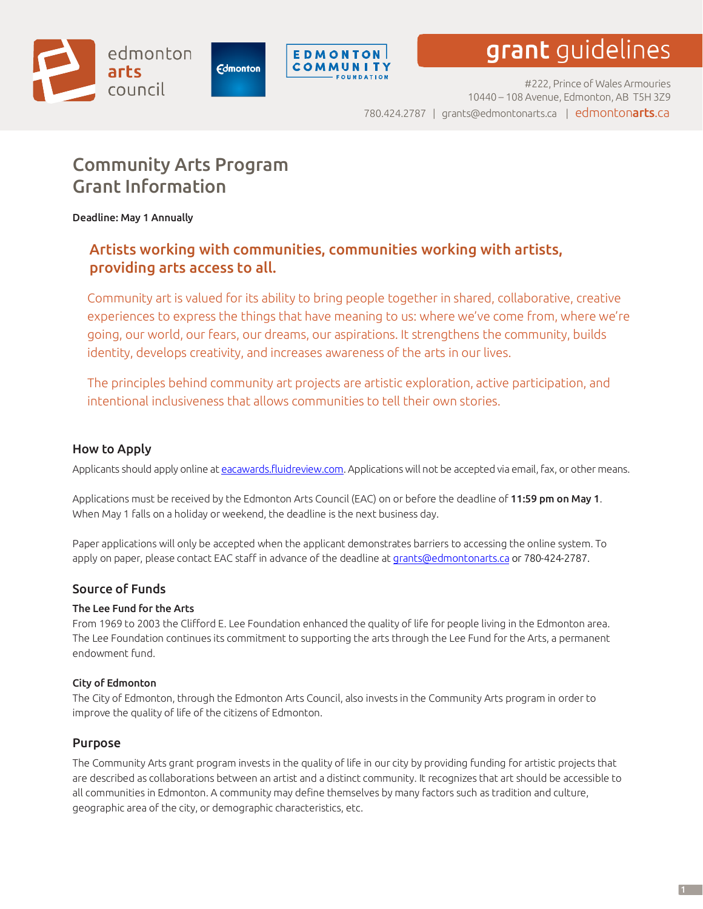





# grant guidelines

#222, Prince of Wales Armouries 10440 – 108 Avenue, Edmonton, AB T5H 3Z9 780.424.2787 | grants@edmontonarts.ca | edmontonarts.ca

## Community Arts Program Grant Information

Deadline: May 1 Annually

## Artists working with communities, communities working with artists, providing arts access to all.

Community art is valued for its ability to bring people together in shared, collaborative, creative experiences to express the things that have meaning to us: where we've come from, where we're going, our world, our fears, our dreams, our aspirations. It strengthens the community, builds identity, develops creativity, and increases awareness of the arts in our lives.

The principles behind community art projects are artistic exploration, active participation, and intentional inclusiveness that allows communities to tell their own stories.

#### How to Apply

Applicants should apply online at eacawards.fluidreview.com. Applications will not be accepted via email, fax, or other means.

Applications must be received by the Edmonton Arts Council (EAC) on or before the deadline of 11:59 pm on May 1. When May 1 falls on a holiday or weekend, the deadline is the next business day.

Paper applications will only be accepted when the applicant demonstrates barriers to accessing the online system. To apply on paper, please contact EAC staff in advance of the deadline at grants@edmontonarts.ca or 780-424-2787.

#### Source of Funds

#### The Lee Fund for the Arts

From 1969 to 2003 the Clifford E. Lee Foundation enhanced the quality of life for people living in the Edmonton area. The Lee Foundation continues its commitment to supporting the arts through the Lee Fund for the Arts, a permanent endowment fund.

#### City of Edmonton

The City of Edmonton, through the Edmonton Arts Council, also invests in the Community Arts program in order to improve the quality of life of the citizens of Edmonton.

#### Purpose

The Community Arts grant program invests in the quality of life in our city by providing funding for artistic projects that are described as collaborations between an artist and a distinct community. It recognizes that art should be accessible to all communities in Edmonton. A community may define themselves by many factors such as tradition and culture, geographic area of the city, or demographic characteristics, etc.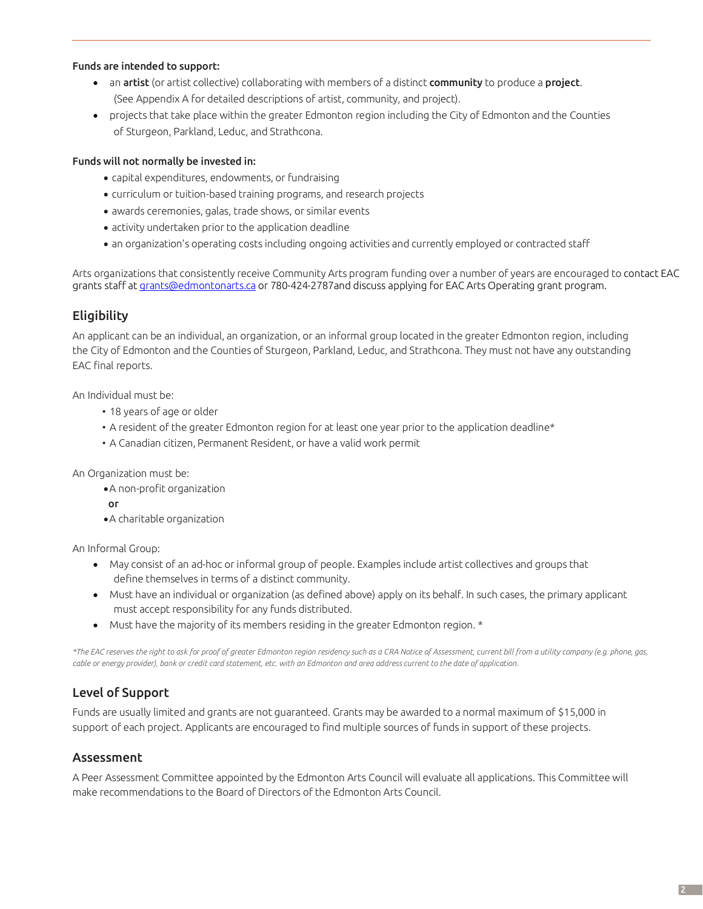#### Funds are intended to support:

- an artist (or artist collective) collaborating with members of a distinct community to produce a project. (See Appendix A for detailed descriptions of artist, community, and project).
- projects that take place within the greater Edmonton region including the City of Edmonton and the Counties of Sturgeon, Parkland, Leduc, and Strathcona.

#### Funds will not normally be invested in:

- capital expenditures, endowments, or fundraising
- curriculum or tuition-based training programs, and research projects
- awards ceremonies, galas, trade shows, or similar events
- activity undertaken prior to the application deadline
- an organization's operating costs including ongoing activities and currently employed or contracted staff

Arts organizations that consistently receive Community Arts program funding over a number of years are encouraged to contact EAC grants staff at grants@edmontonarts.ca or 780-424-2787and discuss applying for EAC Arts Operating grant program.

### **Eligibility**

An applicant can be an individual, an organization, or an informal group located in the greater Edmonton region, including the City of Edmonton and the Counties of Sturgeon, Parkland, Leduc, and Strathcona. They must not have any outstanding EAC final reports.

An Individual must be:

- 18 years of age or older
- A resident of the greater Edmonton region for at least one year prior to the application deadline\*
- A Canadian citizen, Permanent Resident, or have a valid work permit

An Organization must be:

- •A non-profit organization
- or
- •A charitable organization

An Informal Group:

- May consist of an ad-hoc or informal group of people. Examples include artist collectives and groups that define themselves in terms of a distinct community.
- Must have an individual or organization (as defined above) apply on its behalf. In such cases, the primary applicant must accept responsibility for any funds distributed.
- Must have the majority of its members residing in the greater Edmonton region. \*

\*The EAC reserves the right to ask for proof of greater Edmonton region residency such as a CRA Notice of Assessment, current bill from a utility company (e.g. phone, gas, *cable or energy provider), bank or credit card statement, etc. with an Edmonton and area address current to the date of application.*

## Level of Support

Funds are usually limited and grants are not guaranteed. Grants may be awarded to a normal maximum of \$15,000 in support of each project. Applicants are encouraged to find multiple sources of funds in support of these projects.

#### **Assessment**

A Peer Assessment Committee appointed by the Edmonton Arts Council will evaluate all applications. This Committee will make recommendations to the Board of Directors of the Edmonton Arts Council.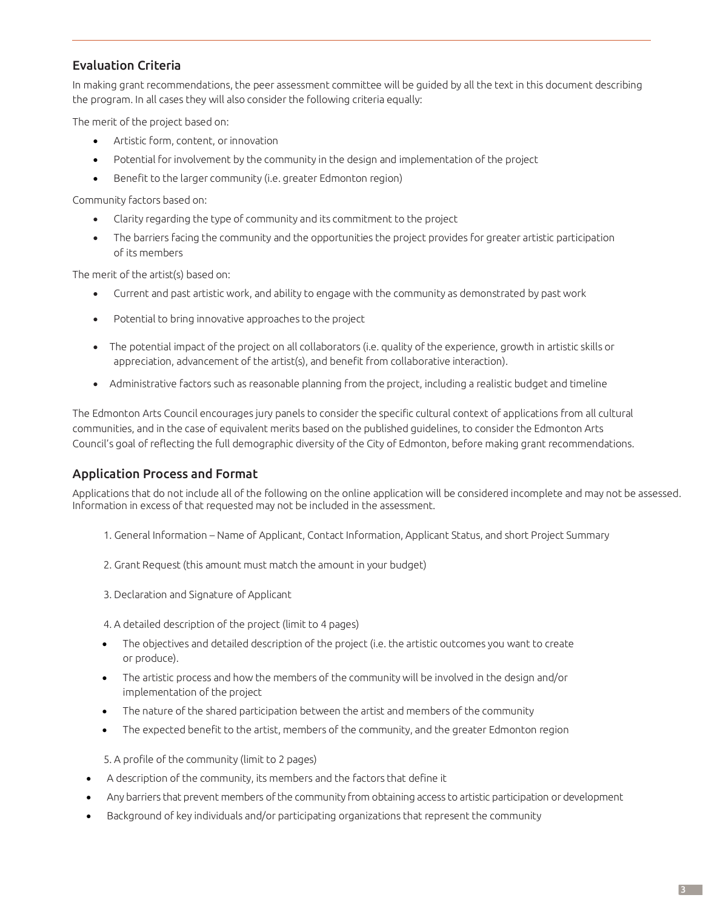## Evaluation Criteria

In making grant recommendations, the peer assessment committee will be guided by all the text in this document describing the program. In all cases they will also consider the following criteria equally:

The merit of the project based on:

- Artistic form, content, or innovation
- Potential for involvement by the community in the design and implementation of the project
- Benefit to the larger community (i.e. greater Edmonton region)

Community factors based on:

- Clarity regarding the type of community and its commitment to the project
- The barriers facing the community and the opportunities the project provides for greater artistic participation of its members

The merit of the artist(s) based on:

- Current and past artistic work, and ability to engage with the community as demonstrated by past work
- Potential to bring innovative approaches to the project
- The potential impact of the project on all collaborators (i.e. quality of the experience, growth in artistic skills or appreciation, advancement of the artist(s), and benefit from collaborative interaction).
- Administrative factors such as reasonable planning from the project, including a realistic budget and timeline

The Edmonton Arts Council encourages jury panels to consider the specific cultural context of applications from all cultural communities, and in the case of equivalent merits based on the published guidelines, to consider the Edmonton Arts Council's goal of reflecting the full demographic diversity of the City of Edmonton, before making grant recommendations.

#### Application Process and Format

Applications that do not include all of the following on the online application will be considered incomplete and may not be assessed. Information in excess of that requested may not be included in the assessment.

- 1. General Information Name of Applicant, Contact Information, Applicant Status, and short Project Summary
- 2. Grant Request (this amount must match the amount in your budget)
- 3. Declaration and Signature of Applicant

4. A detailed description of the project (limit to 4 pages)

- The objectives and detailed description of the project (i.e. the artistic outcomes you want to create or produce).
- The artistic process and how the members of the community will be involved in the design and/or implementation of the project
- The nature of the shared participation between the artist and members of the community
- The expected benefit to the artist, members of the community, and the greater Edmonton region

5. A profile of the community (limit to 2 pages)

- A description of the community, its members and the factors that define it
- Any barriers that prevent members ofthe community from obtaining access to artistic participation or development
- Background of key individuals and/or participating organizations that represent the community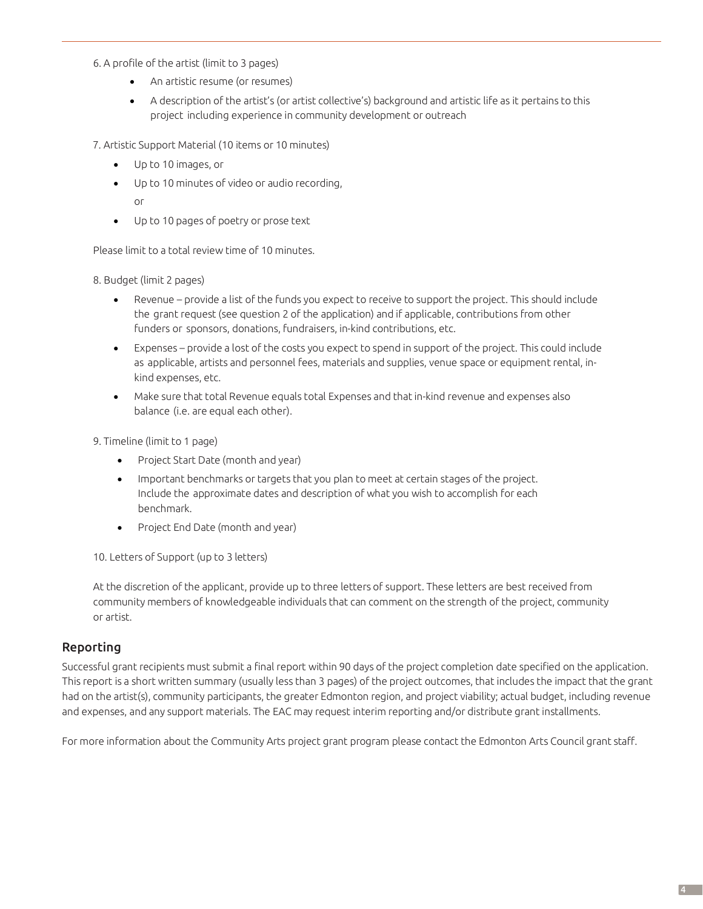- 6. A profile of the artist (limit to 3 pages)
	- An artistic resume (or resumes)
	- A description of the artist's (or artist collective's) background and artistic life as it pertains to this project including experience in community development or outreach

7. Artistic Support Material (10 items or 10 minutes)

- Up to 10 images, or
- Up to 10 minutes of video or audio recording,
	- or
- Up to 10 pages of poetry or prose text

Please limit to a total review time of 10 minutes.

8. Budget (limit 2 pages)

- Revenue provide a list of the funds you expect to receive to support the project. This should include the grant request (see question 2 of the application) and if applicable, contributions from other funders or sponsors, donations, fundraisers, in-kind contributions, etc.
- Expenses provide a lost of the costs you expect to spend in support of the project. This could include as applicable, artists and personnel fees, materials and supplies, venue space or equipment rental, inkind expenses, etc.
- Make sure that total Revenue equals total Expenses and that in-kind revenue and expenses also balance (i.e. are equal each other).

9. Timeline (limit to 1 page)

- Project Start Date (month and year)
- Important benchmarks or targets that you plan to meet at certain stages of the project. Include the approximate dates and description of what you wish to accomplish for each benchmark.
- Project End Date (month and year)

10. Letters of Support (up to 3 letters)

At the discretion of the applicant, provide up to three letters of support. These letters are best received from community members of knowledgeable individuals that can comment on the strength of the project, community or artist.

#### Reporting

Successful grant recipients must submit a final report within 90 days of the project completion date specified on the application. This report is a short written summary (usually less than 3 pages) of the project outcomes, that includes the impact that the grant had on the artist(s), community participants, the greater Edmonton region, and project viability; actual budget, including revenue and expenses, and any support materials. The EAC may request interim reporting and/or distribute grant installments.

For more information about the Community Arts project grant program please contact the Edmonton Arts Council grant staff.